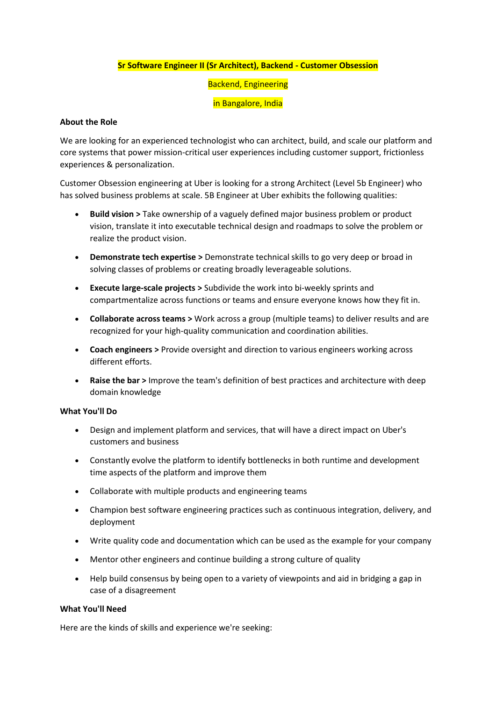## **Sr Software Engineer II (Sr Architect), Backend - Customer Obsession**

## Backend, Engineering

#### in Bangalore, India

#### **About the Role**

We are looking for an experienced technologist who can architect, build, and scale our platform and core systems that power mission-critical user experiences including customer support, frictionless experiences & personalization.

Customer Obsession engineering at Uber is looking for a strong Architect (Level 5b Engineer) who has solved business problems at scale. 5B Engineer at Uber exhibits the following qualities:

- **Build vision >** Take ownership of a vaguely defined major business problem or product vision, translate it into executable technical design and roadmaps to solve the problem or realize the product vision.
- **Demonstrate tech expertise >** Demonstrate technical skills to go very deep or broad in solving classes of problems or creating broadly leverageable solutions.
- **Execute large-scale projects >** Subdivide the work into bi-weekly sprints and compartmentalize across functions or teams and ensure everyone knows how they fit in.
- **Collaborate across teams >** Work across a group (multiple teams) to deliver results and are recognized for your high-quality communication and coordination abilities.
- **Coach engineers >** Provide oversight and direction to various engineers working across different efforts.
- **Raise the bar >** Improve the team's definition of best practices and architecture with deep domain knowledge

## **What You'll Do**

- Design and implement platform and services, that will have a direct impact on Uber's customers and business
- Constantly evolve the platform to identify bottlenecks in both runtime and development time aspects of the platform and improve them
- Collaborate with multiple products and engineering teams
- Champion best software engineering practices such as continuous integration, delivery, and deployment
- Write quality code and documentation which can be used as the example for your company
- Mentor other engineers and continue building a strong culture of quality
- Help build consensus by being open to a variety of viewpoints and aid in bridging a gap in case of a disagreement

## **What You'll Need**

Here are the kinds of skills and experience we're seeking: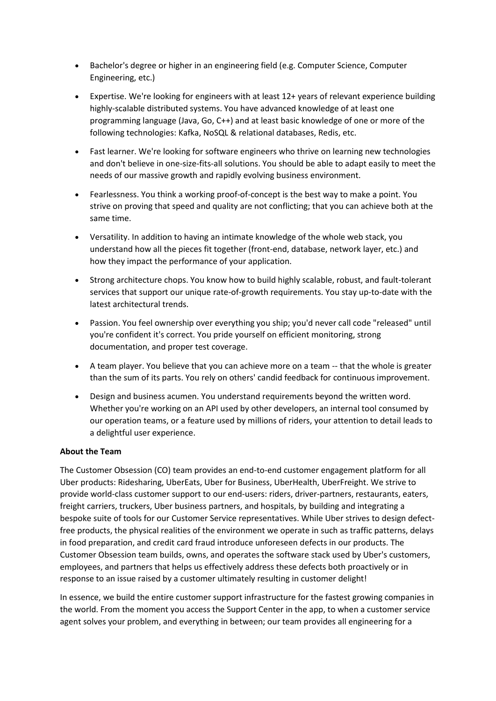- Bachelor's degree or higher in an engineering field (e.g. Computer Science, Computer Engineering, etc.)
- Expertise. We're looking for engineers with at least 12+ years of relevant experience building highly-scalable distributed systems. You have advanced knowledge of at least one programming language (Java, Go, C++) and at least basic knowledge of one or more of the following technologies: Kafka, NoSQL & relational databases, Redis, etc.
- Fast learner. We're looking for software engineers who thrive on learning new technologies and don't believe in one-size-fits-all solutions. You should be able to adapt easily to meet the needs of our massive growth and rapidly evolving business environment.
- Fearlessness. You think a working proof-of-concept is the best way to make a point. You strive on proving that speed and quality are not conflicting; that you can achieve both at the same time.
- Versatility. In addition to having an intimate knowledge of the whole web stack, you understand how all the pieces fit together (front-end, database, network layer, etc.) and how they impact the performance of your application.
- Strong architecture chops. You know how to build highly scalable, robust, and fault-tolerant services that support our unique rate-of-growth requirements. You stay up-to-date with the latest architectural trends.
- Passion. You feel ownership over everything you ship; you'd never call code "released" until you're confident it's correct. You pride yourself on efficient monitoring, strong documentation, and proper test coverage.
- A team player. You believe that you can achieve more on a team -- that the whole is greater than the sum of its parts. You rely on others' candid feedback for continuous improvement.
- Design and business acumen. You understand requirements beyond the written word. Whether you're working on an API used by other developers, an internal tool consumed by our operation teams, or a feature used by millions of riders, your attention to detail leads to a delightful user experience.

# **About the Team**

The Customer Obsession (CO) team provides an end-to-end customer engagement platform for all Uber products: Ridesharing, UberEats, Uber for Business, UberHealth, UberFreight. We strive to provide world-class customer support to our end-users: riders, driver-partners, restaurants, eaters, freight carriers, truckers, Uber business partners, and hospitals, by building and integrating a bespoke suite of tools for our Customer Service representatives. While Uber strives to design defectfree products, the physical realities of the environment we operate in such as traffic patterns, delays in food preparation, and credit card fraud introduce unforeseen defects in our products. The Customer Obsession team builds, owns, and operates the software stack used by Uber's customers, employees, and partners that helps us effectively address these defects both proactively or in response to an issue raised by a customer ultimately resulting in customer delight!

In essence, we build the entire customer support infrastructure for the fastest growing companies in the world. From the moment you access the Support Center in the app, to when a customer service agent solves your problem, and everything in between; our team provides all engineering for a